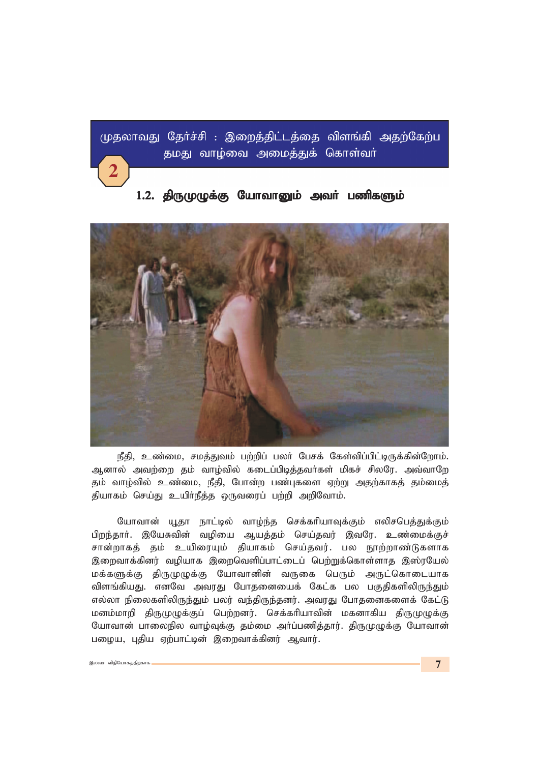# முதலாவது தேர்ச்சி : இறைத்திட்டத்தை விளங்கி அதற்கேற்ப தமது வாழ்வை அமைத்துக் கொள்வா்

### 1.2. திருமுழுக்கு யோவானும் அவர் பணிகளும்



நீதி, உண்மை, சமத்துவம் பற்றிப் பலர் பேசக் கேள்விப்பிட்டிருக்கின்றோம். ஆனால் அவற்றை தம் வாழ்வில் கடைப்பிடித்தவா்கள் மிகச் சிலரே. அவ்வாறே தம் வாழ்வில் உண்மை, நீதி, போன்ற பண்புகளை ஏற்று அதற்காகத் தம்மைத் தியாகம் செய்து உயிா்நீத்த ஒருவரைப் பற்றி அறிவோம்.

யோவான் யகா நாட்டில் வாம்ந்த செக்கரியாவக்கும் எலிசபெக்குக்கும் பிறந்தார். இயேசுவின் வழியை ஆயத்தம் செய்தவர் இவரே. உண்மைக்குச் சான்றாகத் தம் உயிரையும் தியாகம் செய்தவர். பல நூற்றாண்டுகளாக இறைவாக்கினர் வழியாக இறைவெளிப்பாட்டைப் பெற்றுக்கொள்ளாத இஸ்ரயேல் மக்களுக்கு திருமுழுக்கு யோவானின் வருகை பெரும் அருட்கொடையாக விளங்கியது. எனவே அவரது போதனையைக் கேட்க பல பகுதிகளிலிருந்தும் எல்லா நிலைகளிலிருந்தும் பலர் வந்திருந்தனர். அவரது போதனைகளைக் கேட்டு மனம்மாறி திருமுழுக்குப் பெற்றனர். செக்கரியாவின் மகனாகிய திருமுழுக்கு யோவான் பாலைநில வாழ்வுக்கு தம்மை அர்ப்பணித்தார். திருமுழுக்கு யோவான் பழைய, புதிய ஏற்பாட்டின் இறைவாக்கினர் ஆவார்.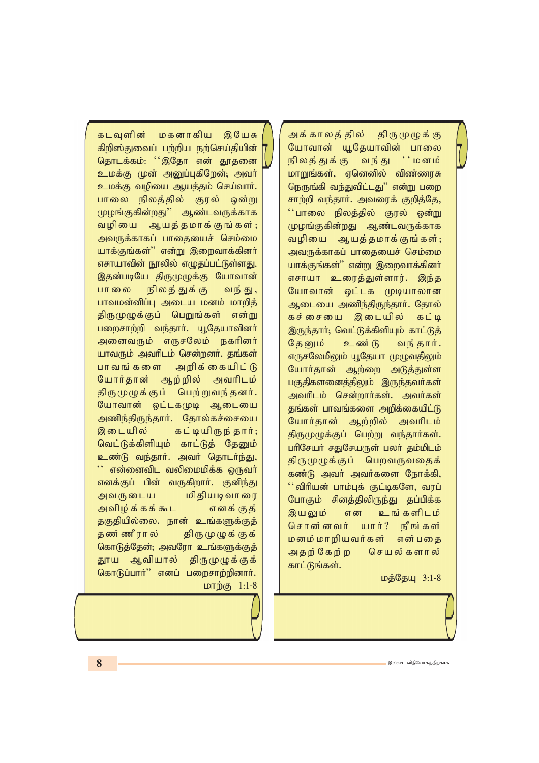அக்காலத்தில் திருமுழுக்கு *Nahthd; A+Njahtpd; ghiy* நிலத்துக்கு வந்து ''மனம் **மாறுங்கள், ஏனெனில் விண்ணரசு** நெருங்கி வந்துவிட்டது<sup>"</sup> என்று பறை சாற்றி வந்தார். அவரைக் குறித்தே,  $^{\prime\prime}$ பாலை நிலத்தில் குரல் ஒன்று *(*முமங்குகின்றது ஆண்டவருக்காக வழியை ஆயத்தமாக்குங்கள்; அவருக்காகப் பாதையைச் செம்மை **யாக்குங்கள்**" என்று இறைவாக்கினர் எசாயா உரைத்துள்ளார். இந்த யோவான் ஒட்டக முடியாலான ஆடையை அணிந்திருந்தார். தோல் கச்சையை இடையில் கட்டி இருந்தார்; வெட்டுக்கிளியும் காட்டுத் தேனும் உண**்டு வந்தார்.** எருசலேமிலும் யூதேயா முழுவதிலும் யோர்தான் ஆற்றை அடுத்துள்ள பகுதிகளனைத்திலும் இருந்தவர்கள் அவரிடம் சென்றார்கள். அவர்கள் தங்கள் பாவங்களை அறிக்கையிட்டு *NahHjhd; Mw;wpy; mthplk;* திருமுமுக்குப் பெற்று வந்தார்கள். **பரிசேயர் சதுசேயருள் பலர் தம்மிடம்** திருமுழுக்குப் பெறவருவதைக் கண்டு அவர் அவர்களை நோக்கி,  $\cdot$ ்விரியன் பாம்புக் குட்டிகளே, வரப் போகும் சினத்திலிருந்து தப்பிக்க இயலும் என உங்களிடம் சொன்னவர் யார்? நீங்கள் *kdk;khwpatHfs; vd;gij* அகுற்கேற்ற செயல்களால் காட்டுங்கள்.

*kj;NjA 3:1-8*

கடவளின் மகனாகிய <u>இயேசு</u> கிறிஸ்துவைப் பற்றிய நற்செய்தியின் தொடக்கம்: ''இதோ என் தூதனை *ckf;F Kd; mDg;GfpNwd;@ mtH*  $p$ டமக்கு வழியை ஆயத்தம் செய்வார். பாலை நிலத்தில் குரல் ஒன்<u>று</u> முழங்குகின்றது'' ஆண்டவருக்காக வழியை ஆயத்தமாக்குங்கள்; அவருக்காகப் பாதையைச் செம்மை **யாக்குங்கள்**" என்று இறைவாக்கினர் எசாயாவின் நூலில் எழுதப்பட்டுள்ளது. இதன்படியே திருமுழுக்கு யோவான் பாலை நிலத்துக்கு, வந்து, *ghtkd;dpg;G mila kdk; khwpj;* திருமுழுக்குப் பெறுங்கள் என்று பறைசாற்றி வந்தார். **யூதேயாவின**ர் அனைவரும் எருசலேம் நகரினர் *ahtUk; mthplk; nrd;wdH. jq;fs;* பாவங்களை அறிக்கையிட்டு கோர்தான் ஆற்றில் அவரிடம் திருமுழுக்குப் பெற்றுவந்தனர். யோவான் ஒட்டகமுடி ஆடையை அணிந்திருந்தார். தோல்கச்சையை இடையில் கட்டியிருந்தார்; வெட்டுக்கிளியும் காட்டுத் தேனும்  $2.$ ண்டு வந்தார். அவர் தொடர்ந்து,  $\lq\lq$ ் என்னைவிட வலிமைமிக்க ஒருவர் *எ*னக்குப் பின் வருகிறார். குனிந்து அவருடைய மிதியடிவாரை அவிழ்க்கக்கூட எனக்குத் தகுதியில்லை. நான் உங்களுக்குத் தண ்ணீரால் திருமுழுக்குக் கொடுத்தேன்; அவரோ உங்களுக்குத் தூய ஆவியால் திருமுழுக்குக் கொடுப்பார்" எனப் பறைசாற்றினார். **மாற்கு 1:1-8**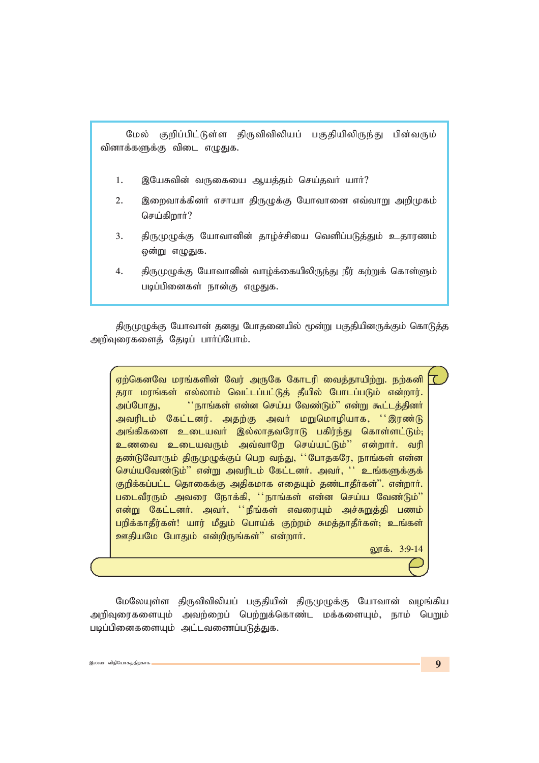மேல் குறிப்பிட்டுள்ள திருவிவிலியப் பகுதியிலிருந்து பின்வரும் வினாக்களுக்கு விடை எழுதுக.

- 1. இயேசுவின் வருகையை ஆயத்தம் செய்தவர் யார்?
- 2. இறைவாக்கினர் எசாயா திருழுக்கு யோவானை எவ்வாறு அறிமுகம் செய்கிறார்?
- 3. திருமுழுக்கு யோவானின் தாழ்ச்சியை வெளிப்படுத்தும் உதாரணம் ஒன்று எழுதுக.
- 4. திருமுழுக்கு யோவானின் வாழ்க்கையிலிருந்து நீர் கற்றுக் கொள்ளும் படிப்பினைகள் நான்கு எழுதுக.

திருமுழுக்கு யோவான் தனது போதனையில் மூன்று பகுதியினருக்கும் கொடுத்த *mwpTiufisj; Njbg; ghHg;Nghk;.*

| ஏற்கெனவே மரங்களின் வேர் அருகே கோடரி வைத்தாயிற்று. நற்கனி ${\sf T}$ |  |
|--------------------------------------------------------------------|--|
| தரா மரங்கள் எல்லாம் வெட்டப்பட்டுத் தீயில் போடப்படும் என்றார்.      |  |
| அப்போது, ''நாங்கள் என்ன செய்ய வேண்டும்" என்று கூட்டத்தினா்         |  |
| அவரிடம் கேட்டனர். அதற்கு அவர் மறுமொழியாக, ''இரண்டு                 |  |
| அங்கிகளை உடையவா் இல்லாதவரோடு பகிர்ந்து கொள்ளட்டும்;                |  |
| உணவை உடையவரும் அவ்வாறே செய்யட்டும்'' என்றார். வரி                  |  |
| தண்டுவோரும் திருமுழுக்குப் பெற வந்து, ''போதகரே, நாங்கள் என்ன       |  |
| செய்யவேண்டும்" என்று அவரிடம் கேட்டனர். அவர், '' உங்களுக்குக்       |  |
| குறிக்கப்பட்ட தொகைக்கு அதிகமாக எதையும் தண்டாதீர்கள்". என்றார்.     |  |
| படைவீரரும் அவரை நோக்கி, ''நாங்கள் என்ன செய்ய வேண்டும்''            |  |
| என்று கேட்டனர். அவர், ''நீங்கள் எவரையும் அச்சுறுத்தி பணம்          |  |
| பறிக்காதீர்கள்! யார் மீதும் பொய்க் குற்றம் சுமத்தாதீர்கள்; உங்கள்  |  |
| ஊதியமே போதும் என்றிருங்கள்" என்றார்.                               |  |
|                                                                    |  |

லூக். 3:9-14

மேலேயுள்ள திருவிவிலியப் பகுதியின் திருமுழுக்கு யோவான் வழங்கிய அறிவுரைகளையும் அவற்றைப் பெற்றுக்கொண்ட மக்களையும், நாம் பெறும் படிப்பினைகளையும் அட்டவணைப்படுத்துக.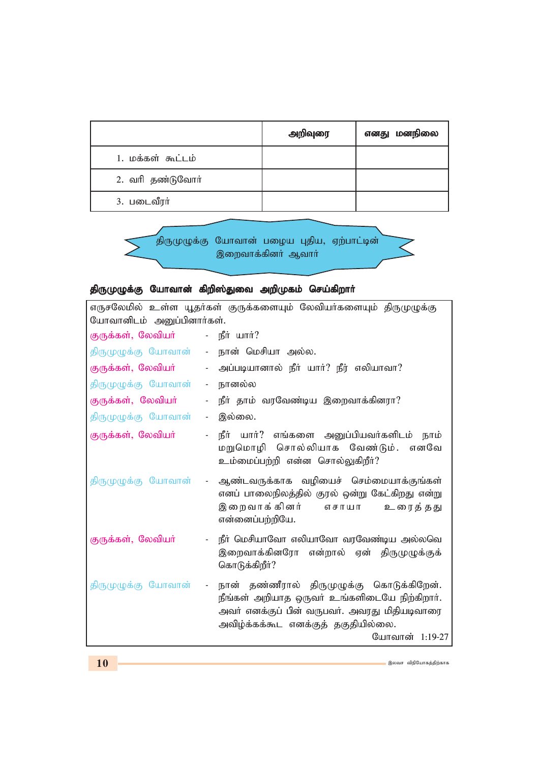|                   | அறிவுரை | எனது மனநிலை |
|-------------------|---------|-------------|
| 1. மக்கள் கூட்டம் |         |             |
| 2. வரிதண்டுவோர்   |         |             |
| 3. படைவீரர்       |         |             |

.<br>திருமுழுக்கு யோவான் பழைய புதிய, ஏற்பாட்டின்<sup>1</sup> இறைவாக்கினா் ஆவாா்

# திருமுழுக்கு யோவான் கிறிஸ்துவை அறிமுகம் செய்கிறாா்

|                                                | எருசலேமில் உள்ள யூதர்கள் குருக்களையும் லேவியர்களையும் திருமுழுக்கு                                                                                                                                  |  |  |  |
|------------------------------------------------|-----------------------------------------------------------------------------------------------------------------------------------------------------------------------------------------------------|--|--|--|
| யோவானிடம் அனுப்பினார்கள்.                      |                                                                                                                                                                                                     |  |  |  |
| குருக்கள், லேவியர்                             | - நீர் யார்?                                                                                                                                                                                        |  |  |  |
| திருமுழுக்கு யோவான்                            | - நான் மெசியா அல்ல.                                                                                                                                                                                 |  |  |  |
| குருக்கள், லேவியா்<br>$\omega_{\rm{max}}$      | அப்படியானால் நீர் யார்? நீர் எலியாவா?                                                                                                                                                               |  |  |  |
| திருமுழுக்கு யோவான்<br>$\sigma_{\rm{eff}}$     | நானல்ல                                                                                                                                                                                              |  |  |  |
| குருக்கள், லேவியா்<br>$\sigma_{\rm{max}}$      | நீா் தாம் வரவேண்டிய இறைவாக்கினரா?                                                                                                                                                                   |  |  |  |
| திருமுழுக்கு யோவான்<br>$\sim 100$              | இல்லை.                                                                                                                                                                                              |  |  |  |
| குருக்கள், லேவியா்<br>$\omega_{\rm{max}}$      | நீா் யாா்? எங்களை அனுப்பியவா்களிடம் நாம்<br>மறுமொழி சொல்லியாக வேண்டும். எனவே<br>உம்மைப்பற்றி என்ன சொல்லுகிறீா்?                                                                                     |  |  |  |
| திருமுழுக்கு யோவான்<br>$\sim 100$              | ஆண்டவருக்காக வழியைச் செம்மையாக்குங்கள்<br>எனப் பாலைநிலத்தில் குரல் ஒன்று கேட்கிறது என்று<br>இறைவாக் கினர்<br>எசாயா<br>உரைத் தது<br>என்னைப்பற்றியே.                                                  |  |  |  |
| குருக்கள், லேவியர்<br>$\overline{\phantom{a}}$ | நீர் மெசியாவோ எலியாவோ வரவேண்டிய அல்லவெ<br>இறைவாக்கினரோ என்றால் ஏன் திருமுழுக்குக்<br>கொடுக்கிறீர்?                                                                                                  |  |  |  |
| திருமுழுக்கு யோவான்<br>$\sim 10$               | நான் தண்ணீரால் திருமுழுக்கு கொடுக்கிறேன்.<br>நீங்கள் அறியாத ஒருவா் உங்களிடையே நிற்கிறாா்.<br>அவர் எனக்குப் பின் வருபவர். அவரது மிதியடிவாரை<br>அவிழ்க்கக்கூட எனக்குத் தகுதியில்லை.<br>யோவான் 1:19-27 |  |  |  |